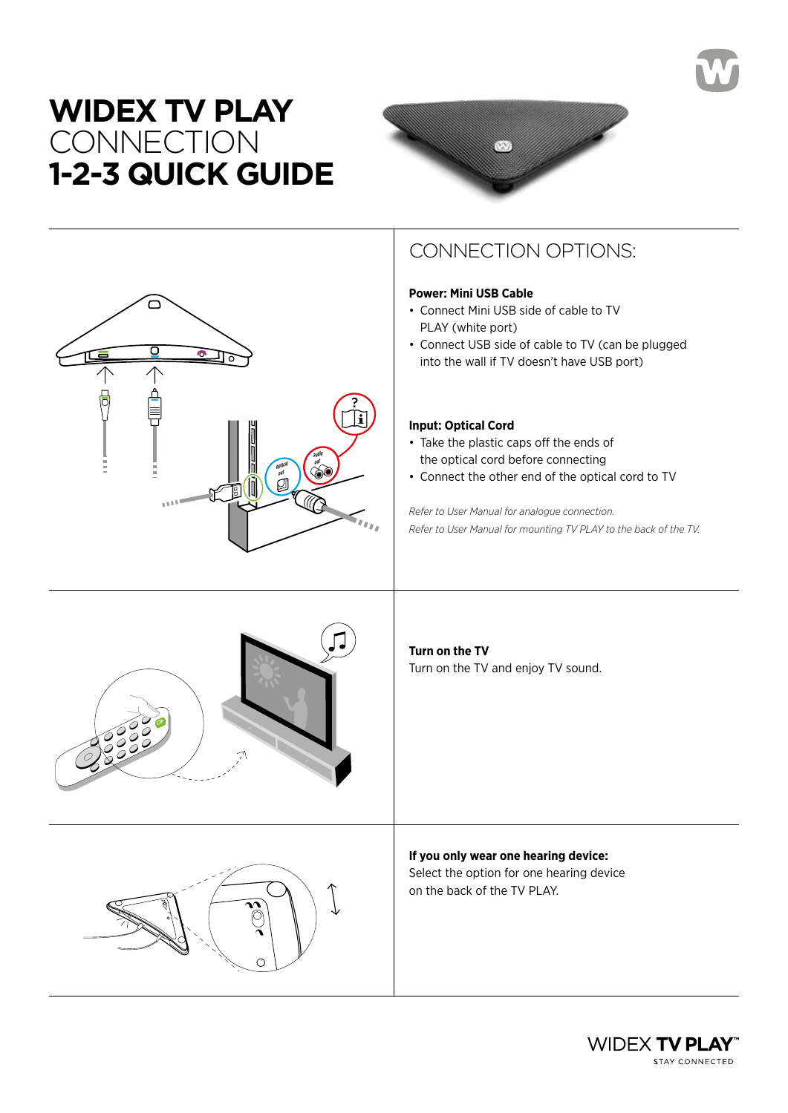## **WIDEX TV PLAY CONNECTION 1-2-3 QUICK GUIDE**